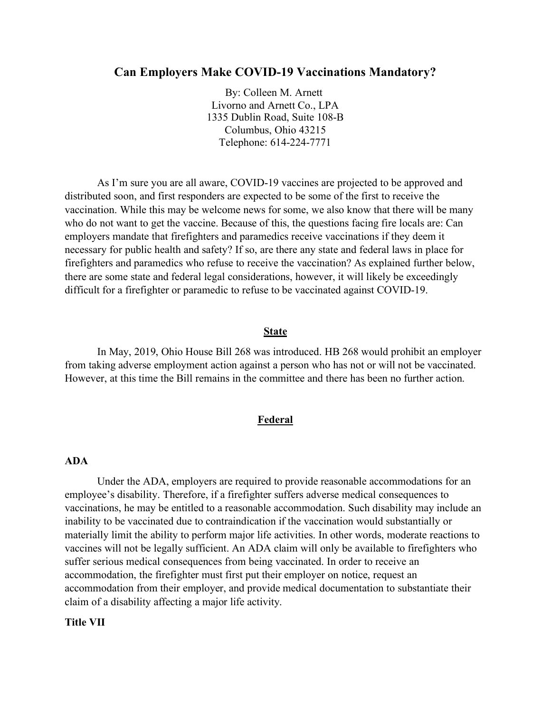# **Can Employers Make COVID-19 Vaccinations Mandatory?**

By: Colleen M. Arnett Livorno and Arnett Co., LPA 1335 Dublin Road, Suite 108-B Columbus, Ohio 43215 Telephone: 614-224-7771

As I'm sure you are all aware, COVID-19 vaccines are projected to be approved and distributed soon, and first responders are expected to be some of the first to receive the vaccination. While this may be welcome news for some, we also know that there will be many who do not want to get the vaccine. Because of this, the questions facing fire locals are: Can employers mandate that firefighters and paramedics receive vaccinations if they deem it necessary for public health and safety? If so, are there any state and federal laws in place for firefighters and paramedics who refuse to receive the vaccination? As explained further below, there are some state and federal legal considerations, however, it will likely be exceedingly difficult for a firefighter or paramedic to refuse to be vaccinated against COVID-19.

#### **State**

In May, 2019, Ohio House Bill 268 was introduced. HB 268 would prohibit an employer from taking adverse employment action against a person who has not or will not be vaccinated. However, at this time the Bill remains in the committee and there has been no further action.

### **Federal**

## **ADA**

Under the ADA, employers are required to provide reasonable accommodations for an employee's disability. Therefore, if a firefighter suffers adverse medical consequences to vaccinations, he may be entitled to a reasonable accommodation. Such disability may include an inability to be vaccinated due to contraindication if the vaccination would substantially or materially limit the ability to perform major life activities. In other words, moderate reactions to vaccines will not be legally sufficient. An ADA claim will only be available to firefighters who suffer serious medical consequences from being vaccinated. In order to receive an accommodation, the firefighter must first put their employer on notice, request an accommodation from their employer, and provide medical documentation to substantiate their claim of a disability affecting a major life activity.

### **Title VII**